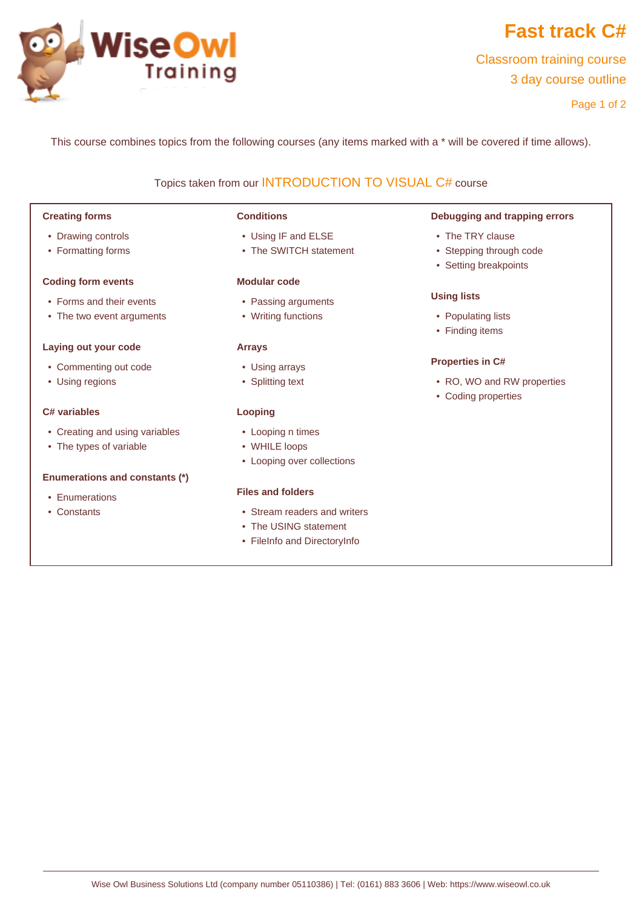

# **Fast track C#**

Classroom training course 3 day course outline

Page 1 of 2

This course combines topics from the following courses (any items marked with a \* will be covered if time allows).

# Topics taken from our [INTRODUCTION TO VISUAL C#](www.wiseowl.co.uk/courses/intro-c-sharp.htm) course

# **Creating forms**

- Drawing controls
- Formatting forms

## **Coding form events**

- Forms and their events
- The two event arguments

# **Laying out your code**

- Commenting out code
- Using regions

# **C# variables**

- Creating and using variables
- The types of variable

# **Enumerations and constants (\*)**

- Enumerations
- Constants

# **Conditions**

- Using IF and ELSE
- The SWITCH statement

# **Modular code**

- Passing arguments
- Writing functions

# **Arrays**

- Using arrays
- Splitting text

# **Looping**

- Looping n times
- WHILE loops
- Looping over collections

# **Files and folders**

- Stream readers and writers
- The USING statement
- FileInfo and DirectoryInfo

## **Debugging and trapping errors**

- The TRY clause
- Stepping through code
- Setting breakpoints

## **Using lists**

- Populating lists
- Finding items

# **Properties in C#**

- RO, WO and RW properties
- Coding properties